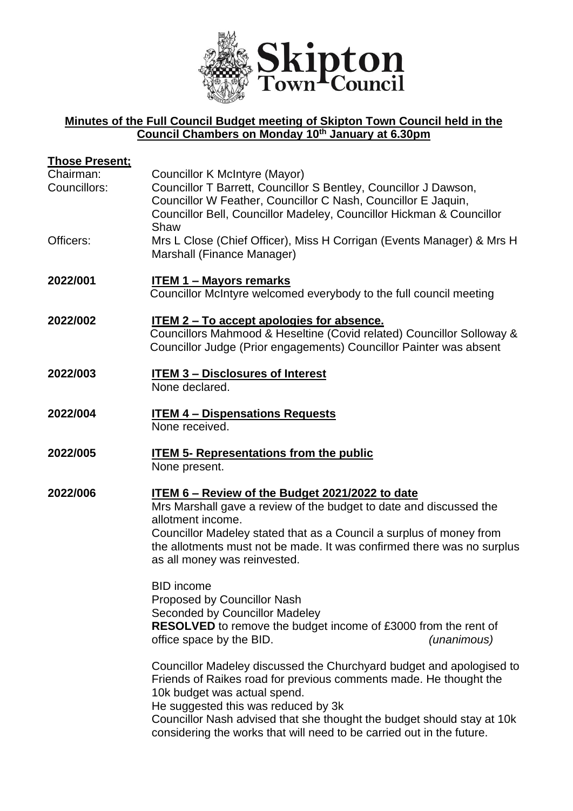

## **Minutes of the Full Council Budget meeting of Skipton Town Council held in the Council Chambers on Monday 10th January at 6.30pm**

| <u>Those Present;</u>     |                                                                                                                                                                                                                                                                                                                                                                     |
|---------------------------|---------------------------------------------------------------------------------------------------------------------------------------------------------------------------------------------------------------------------------------------------------------------------------------------------------------------------------------------------------------------|
| Chairman:<br>Councillors: | Councillor K McIntyre (Mayor)<br>Councillor T Barrett, Councillor S Bentley, Councillor J Dawson,<br>Councillor W Feather, Councillor C Nash, Councillor E Jaquin,<br>Councillor Bell, Councillor Madeley, Councillor Hickman & Councillor<br>Shaw                                                                                                                  |
| Officers:                 | Mrs L Close (Chief Officer), Miss H Corrigan (Events Manager) & Mrs H<br>Marshall (Finance Manager)                                                                                                                                                                                                                                                                 |
| 2022/001                  | <b>ITEM 1 - Mayors remarks</b><br>Councillor McIntyre welcomed everybody to the full council meeting                                                                                                                                                                                                                                                                |
| 2022/002                  | <u>ITEM 2 – To accept apologies for absence.</u><br>Councillors Mahmood & Heseltine (Covid related) Councillor Solloway &<br>Councillor Judge (Prior engagements) Councillor Painter was absent                                                                                                                                                                     |
| 2022/003                  | <b>ITEM 3 - Disclosures of Interest</b><br>None declared.                                                                                                                                                                                                                                                                                                           |
| 2022/004                  | <b>ITEM 4 - Dispensations Requests</b><br>None received.                                                                                                                                                                                                                                                                                                            |
| 2022/005                  | <b>ITEM 5- Representations from the public</b><br>None present.                                                                                                                                                                                                                                                                                                     |
| 2022/006                  | ITEM 6 – Review of the Budget 2021/2022 to date<br>Mrs Marshall gave a review of the budget to date and discussed the<br>allotment income.<br>Councillor Madeley stated that as a Council a surplus of money from<br>the allotments must not be made. It was confirmed there was no surplus<br>as all money was reinvested.                                         |
|                           | <b>BID</b> income<br>Proposed by Councillor Nash<br><b>Seconded by Councillor Madeley</b><br><b>RESOLVED</b> to remove the budget income of £3000 from the rent of<br>office space by the BID.<br>(unanimous)                                                                                                                                                       |
|                           | Councillor Madeley discussed the Churchyard budget and apologised to<br>Friends of Raikes road for previous comments made. He thought the<br>10k budget was actual spend.<br>He suggested this was reduced by 3k<br>Councillor Nash advised that she thought the budget should stay at 10k<br>considering the works that will need to be carried out in the future. |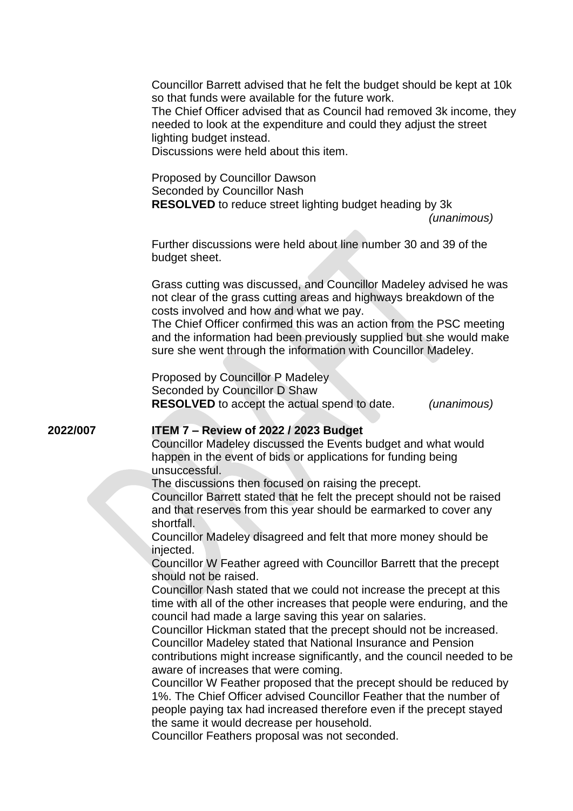|          | Councillor Barrett advised that he felt the budget should be kept at 10k<br>so that funds were available for the future work.<br>The Chief Officer advised that as Council had removed 3k income, they<br>needed to look at the expenditure and could they adjust the street<br>lighting budget instead.<br>Discussions were held about this item.                                                                                                                                                                                                                                                                                                                                                                                                                                                                                                                                                                                                                                                                                                                                                                                                                                                                                                                                                                                                                                                    |
|----------|-------------------------------------------------------------------------------------------------------------------------------------------------------------------------------------------------------------------------------------------------------------------------------------------------------------------------------------------------------------------------------------------------------------------------------------------------------------------------------------------------------------------------------------------------------------------------------------------------------------------------------------------------------------------------------------------------------------------------------------------------------------------------------------------------------------------------------------------------------------------------------------------------------------------------------------------------------------------------------------------------------------------------------------------------------------------------------------------------------------------------------------------------------------------------------------------------------------------------------------------------------------------------------------------------------------------------------------------------------------------------------------------------------|
|          | Proposed by Councillor Dawson<br>Seconded by Councillor Nash<br><b>RESOLVED</b> to reduce street lighting budget heading by 3k<br>(unanimous)                                                                                                                                                                                                                                                                                                                                                                                                                                                                                                                                                                                                                                                                                                                                                                                                                                                                                                                                                                                                                                                                                                                                                                                                                                                         |
|          | Further discussions were held about line number 30 and 39 of the<br>budget sheet.                                                                                                                                                                                                                                                                                                                                                                                                                                                                                                                                                                                                                                                                                                                                                                                                                                                                                                                                                                                                                                                                                                                                                                                                                                                                                                                     |
|          | Grass cutting was discussed, and Councillor Madeley advised he was<br>not clear of the grass cutting areas and highways breakdown of the<br>costs involved and how and what we pay.<br>The Chief Officer confirmed this was an action from the PSC meeting<br>and the information had been previously supplied but she would make<br>sure she went through the information with Councillor Madeley.                                                                                                                                                                                                                                                                                                                                                                                                                                                                                                                                                                                                                                                                                                                                                                                                                                                                                                                                                                                                   |
|          | Proposed by Councillor P Madeley<br>Seconded by Councillor D Shaw<br><b>RESOLVED</b> to accept the actual spend to date.<br>(unanimous)                                                                                                                                                                                                                                                                                                                                                                                                                                                                                                                                                                                                                                                                                                                                                                                                                                                                                                                                                                                                                                                                                                                                                                                                                                                               |
| 2022/007 | <b>ITEM 7 - Review of 2022 / 2023 Budget</b><br>Councillor Madeley discussed the Events budget and what would<br>happen in the event of bids or applications for funding being<br>unsuccessful.<br>The discussions then focused on raising the precept.<br>Councillor Barrett stated that he felt the precept should not be raised<br>and that reserves from this year should be earmarked to cover any<br>shortfall.<br>Councillor Madeley disagreed and felt that more money should be<br>injected.<br>Councillor W Feather agreed with Councillor Barrett that the precept<br>should not be raised.<br>Councillor Nash stated that we could not increase the precept at this<br>time with all of the other increases that people were enduring, and the<br>council had made a large saving this year on salaries.<br>Councillor Hickman stated that the precept should not be increased.<br>Councillor Madeley stated that National Insurance and Pension<br>contributions might increase significantly, and the council needed to be<br>aware of increases that were coming.<br>Councillor W Feather proposed that the precept should be reduced by<br>1%. The Chief Officer advised Councillor Feather that the number of<br>people paying tax had increased therefore even if the precept stayed<br>the same it would decrease per household.<br>Councillor Feathers proposal was not seconded. |